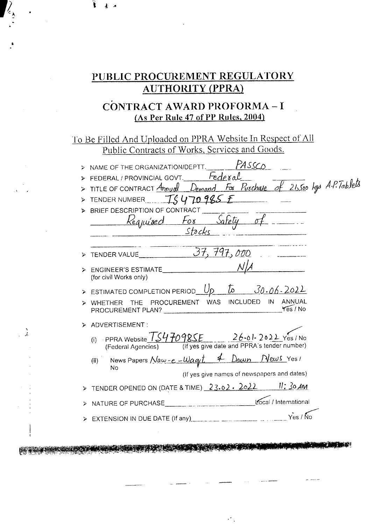# PUBLIC PROCUREMENT REGULATORY **AUTHORITY (PPRA)**

# CONTRACT AWARD PROFORMA-I (As Per Rule 47 of PP Rules, 2004)

To Be Filled And Uploaded on PPRA Website In Respect of All Public Contracts of Works, Services and Goods.

|   | PASSCO<br>NAME OF THE ORGANIZATION/DEPTT.                                                                                |
|---|--------------------------------------------------------------------------------------------------------------------------|
|   | FEDERAL/PROVINCIAL GOVT. Federal                                                                                         |
|   | TITLE OF CONTRACT Annual Demand For Purchase of 21,500 kgs A.P. Tablets                                                  |
|   | TENDER NUMBER TS 470985 E                                                                                                |
|   | BRIEF DESCRIPTION OF CONTRACT<br>Kequised For Safety of                                                                  |
| ⋗ | TENDER VALUE $\frac{37}{797},000$                                                                                        |
| ⋗ | ENGINEER'S ESTIMATE<br>(for civil Works only)                                                                            |
|   | > ESTIMATED COMPLETION PERIOD $Up$ $\bar{L}$ $30.06-2022$                                                                |
| ⇘ | WHETHER THE PROCUREMENT WAS INCLUDED IN<br>ANNUAL<br>Yes / No<br>PROCUREMENT PLAN?                                       |
|   | ADVERTISEMENT:                                                                                                           |
|   | PPRA Website $TS47098SE$ 26-01-2022 Yes / No<br>(i)<br>(If yes give date and PPRA's tender number)<br>(Federal Agencies) |
|   | News Papers $Naw-e-Waqt$ 4 Dawn News Yes!<br>(ii)<br>No<br>(If yes give names of newspapers and dates)                   |
|   | TENDER OPENED ON (DATE & TIME) 23.02. 2022 11:30 AM                                                                      |
|   | Local / International<br>NATURE OF PURCHASE                                                                              |
|   | Yes / Ño<br>EXTENSION IN DUE DATE (If any) <b>EXTENSION</b> IN DUE DATE (If any)                                         |
|   |                                                                                                                          |

DE SALOIS DE LA CONTRACTA DE LA CONTRACTA DE

 $\mathcal{L}^{\text{max}}$ 

 $\frac{1}{2}$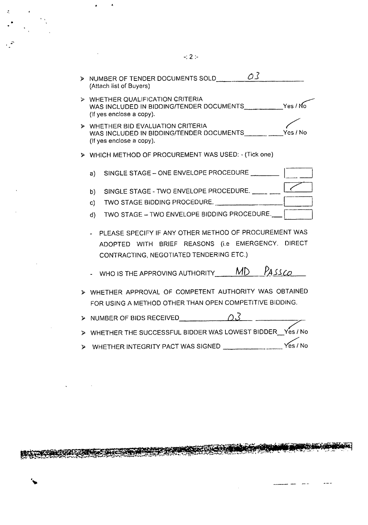> NUMBER OF TENDER DOCUMENTS SOLD  $\sim$  03 (Attach list of Buyers) >- WHETHER QUALIFICATION CRITERIA WAS INCLUDED IN BIDDING/TENDER DOCUMENTS Yes / No (If yes enclose a copy). **p** WHETHER BID EVALUATION CRITERIA<br>WAS INCLUDED IN RIDDING/TENDER DOCUMENTS Yes / No WAS INCLUDED IN BIDDING/TENDER DOCUMENTS (If yes enclose a copy). » WHICH METHOD OF PROCUREMENT WAS USED: - (Tick one) a) b) SINGLE STAGE - TWO ENVELOPE PROCEDURE. c) TWO STAGE BIDDING PROCEDURE. d) TWO STAGE -- TWO ENVELOPE BIDDING PROCEDURE.\_\_\_\_| | SINGLE STAGE - ONE ENVELOPE PROCEDURE TWO STAGE BIDDING PROCEDURE. --------L~ - PLEASE SPECIFY IF ANY OTHER METHOD OF PROCUREMENT WAS ADOPTED WITH BRIEF REASONS (i.e EMERGENCY, DIRECT CONTRACTING, NEGOTIATED TENDERING ETC.) - WHO IS THE APPROVING AUTHORITY  $MD$   $P_{ASSCO}$ ).> WHETHER APPROVAL OF COMPETENT AUTHORITY WAS OBTAINED FOR USING A METHOD OTHER THAN OPEN COMPETITIVE BIDDING. NUMBER OF BIDS RECEIVED  $\overline{\Omega}$ » WHETHER THE SUCCESSFUL BIDDER WAS LOWEST BIDDER\_Yes *I* No

> WHETHER INTEGRITY PACT WAS SIGNED \_\_\_\_\_\_\_\_\_\_\_\_\_\_\_\_\_\_Yes / No

, ,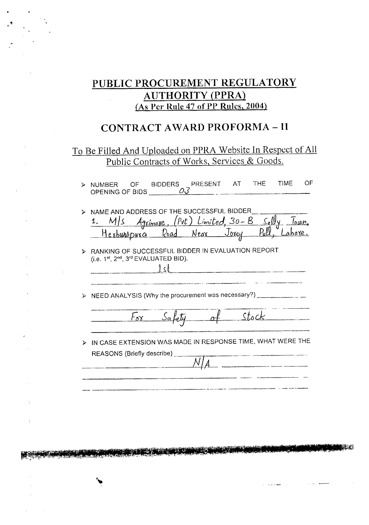# PUBLIC PROCUREMENT REGULATORY **AUTHORITY (PPRA)** (As Per Rule 47 of PP Rules, 2004)

# **CONTRACT AWARD PROFORMA - II**

## To Be Filled And Uploaded on PPRA Website In Respect of All Public Contracts of Works, Services & Goods.

|                       | NUMBER OF BIDDERS PRESENT AT THE TIME<br>OPENING OF BIDS                                                                        |              |        |          |                                                                                                                     | OF |
|-----------------------|---------------------------------------------------------------------------------------------------------------------------------|--------------|--------|----------|---------------------------------------------------------------------------------------------------------------------|----|
|                       | NAME AND ADDRESS OF THE SUCCESSFUL BIDDER<br>1. M/s Agrimore, (Put) Limited, 30-B Selly<br>Hesburopuxa Road Near Jorey Pull, La |              |        |          |                                                                                                                     |    |
| $\prec$               | RANKING OF SUCCESSFUL BIDDER IN EVALUATION REPORT<br>(i.e. 1st, 2nd, 3rd EVALUATED BID).                                        |              | $1$ st |          |                                                                                                                     |    |
| $\blacktriangleright$ | NEED ANALYSIS (Why the procurement was necessary?) ______________                                                               |              |        |          |                                                                                                                     |    |
|                       |                                                                                                                                 | $F_{\alpha}$ |        | of stock |                                                                                                                     |    |
| ⋗                     | IN CASE EXTENSION WAS MADE IN RESPONSE TIME, WHAT WERE THE<br>REASONS (Briefly describe)                                        |              |        |          | .<br>W Jacoba word in the spiritualistic contractor of the companion and the companion of the state of the state of |    |
|                       |                                                                                                                                 |              |        |          |                                                                                                                     |    |

<u>ren sin Bai</u>

 $\bar{z}$ 

 $\pm$ 

 $\overline{1}$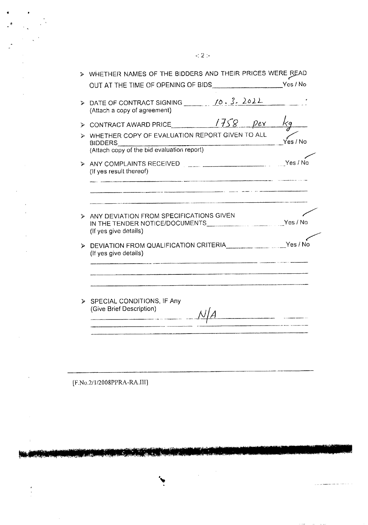|    | WHETHER NAMES OF THE BIDDERS AND THEIR PRICES WERE READ                                                                                 |          |
|----|-----------------------------------------------------------------------------------------------------------------------------------------|----------|
|    | > DATE OF CONTRACT SIGNING 10.3.2022<br>(Attach a copy of agreement)                                                                    |          |
|    | $\triangleright$ CONTRACT AWARD PRICE $\sqrt{758}$<br>$P$ er                                                                            |          |
|    | > WHETHER COPY OF EVALUATION REPORT GIVEN TO ALL<br>(Attach copy of the bid evaluation report)                                          | res / No |
|    | ANY COMPLAINTS RECEIVED <b>AND THE COMPLAINTS</b><br>(If yes result thereof)                                                            | Yes / No |
| A. | ANY DEVIATION FROM SPECIFICATIONS GIVEN<br>IN THE TENDER NOTICE/DOCUMENTS_____________________________Yes / No<br>(If yes give details) |          |
| ↘  | DEVIATION FROM QUALIFICATION CRITERIA WELL WAS ARRESTED.<br>(If yes give details)                                                       |          |
|    | SPECIAL CONDITIONS, IF Any<br>(Give Brief Description)                                                                                  |          |

[F.No.2/1/2008PPRA-RA.III]

.<br>Mat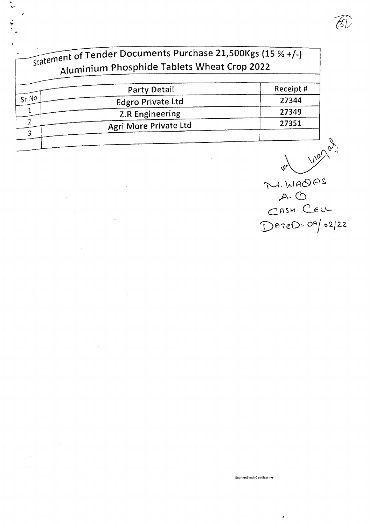|       | Party Detail             | Receipt# |
|-------|--------------------------|----------|
| Sr.NO | <b>Edgro Private Ltd</b> | 27344    |
|       | <b>Z.R Engineering</b>   | 27349    |
|       | Agri More Private Ltd    | 27351    |

 $\hat{\boldsymbol{\beta}}$ 

 $\bar{z}$ 

 $\bar{\alpha}$ 

 $\ddot{\phantom{a}}$ l.

 $\frac{1}{\sqrt{2}}$ 

 $\mathcal{E}$ 

w M. LIAOAS CASH CELL  $D$ AreD. 07/02/22

 $|f_3|$ 

Scanned with CamScanner

 $\bar{\pmb{\cdot}}$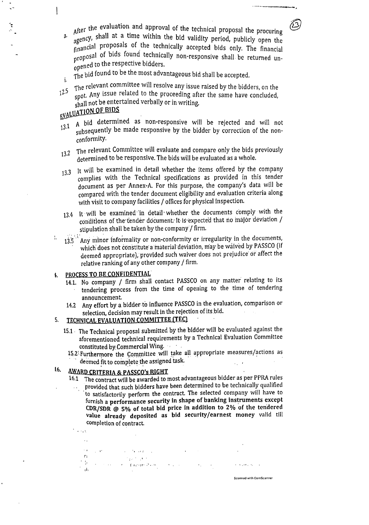After the evaluation and approval of the technical proposal the procuring  $\frac{1}{\text{degree}}$ , shall at a time within the bid validity period, publicly open the financial proposals of the technically accepted bids only. The financial proposal of bids found technically non-responsive shall be returned unopened to the respective bidders.

 $T_{\text{the}}$  bid found to be the most advantageous bid shall be accepted.

i. <sup>12.5</sup> The relevant committee will resolve any issue raised by the bidders, on the 1<sup>2.5</sup> the any issue related to the proceeding often the same have the line spot. Any issue related to the proceeding after the same have concluded, shall not be entertained verbally or in writing.

# EVALUATION OF BIDS

- 13.1 A bid determined as non-responsive will be rejected and will not subsequently be made responsive by the bidder by correction of the nonconformity.
- 13.2 The relevant Committee will evaluate and compare only the bids previously determined to be responsive. The bids will be evaluated as a whole.
- 13.3 It will be examined in detail whether the items offered by the company complies with the Technical specifications as provided in this tender document as per Annex.A. For this purpose, the company's data will be compared with the tender document eligibility and evaluation criteria along with visit to company facilities / offices for physical Inspection.
- 13.4 It will be examined in detail whether the documents comply with the conditions of the tender document. It is expected that no major deviation / stipulation shall be taken by the company / firm.
- $13.5$ <sup>13</sup> Any minor informality or non-conformity or irregularity in the documents, which does not constitute a material deviation, may be waived by PASSCO (if deemed appropriate), provided such waiver does not prejudice or affect the relative ranking of any other company / firm.

## PROCESS TO BE CONFIDENTIAL

;<br>;

- 14.1. No company / firm shall contact PASSCO on any matter relating to its tendering process from the time of opening to the time of tendering announcement.
- 14.2 Any effort by a bidder to influence PASSCO in the evaluation, comparison or selection, decision may result in the rejection of its,bid. **Contract Contract**

## 5. TECHNICAL EVALUATION COMMITTEE (TEC)

- 15.1. The Technical proposal submitted by the bidder will be evaluated against the aforementioned technical requirements bya Technical Evaluation Committee constituted by Commercial Wing.  $\cdots$  .
	- 15.2 Furthermore the Committee will take all appropriate measures/actions as  $\blacksquare$  deemed fit to complete the assigned task.

## 16. AWARD CRITERIA & PASSCO's RIGHT

- 16.1 The contract will be awarded to most advantageous bidder as per PPRA rules
	- provided that such bidders have been determined to be technically qualified .to satisfactorily perform the contract. The selected company will have to furnish a performance security in shape of banking instruments except CDR/SDR  $\oslash$  5% of total bid price in addition to 2% of the tendered value already deposited as bid security/earnest money valid till completion of contract.

Scanned with CarnScanner

 $\ddot{\phantom{a}}$  $\label{eq:2.1} \begin{split} \mathcal{L}_{\mathcal{A}}(\mathbf{P}_{\mathcal{A}}^{\mathcal{A}}(\mathbf{p}_{\mathcal{A}}^{\mathcal{A}})) = \mathcal{L}_{\mathcal{A}}(\mathbf{P}_{\mathcal{A}}^{\mathcal{A}}(\mathbf{p}_{\mathcal{A}}^{\mathcal{A}})) = \mathcal{L}_{\mathcal{A}}(\mathbf{p}_{\mathcal{A}}^{\mathcal{A}}(\mathbf{p}_{\mathcal{A}}^{\mathcal{A}})) = \mathcal{L}_{\mathcal{A}}(\mathbf{p}_{\mathcal{A}}^{\mathcal{A}}(\mathbf{p}_{\mathcal{A}}^{\mathcal{A}}$  $\begin{array}{ll} \mathbf{G} & \mathbf{G} & \mathbf{G} \\ \mathbf{H} & \mathbf{G} & \mathbf{G} & \mathbf{G} \\ \mathbf{H} & \mathbf{G} & \mathbf{G} & \mathbf{G} & \mathbf{G} \\ \mathbf{H} & \mathbf{G} & \mathbf{G} & \mathbf{G} & \mathbf{G} \\ \mathbf{H} & \mathbf{G} & \mathbf{G} & \mathbf{G} & \mathbf{G} \\ \mathbf{H} & \mathbf{G} & \mathbf{G} & \mathbf{G} & \mathbf{G} \\ \mathbf{H} & \mathbf{G} & \mathbf{G} & \mathbf$ 

<sup>,</sup> 0",1,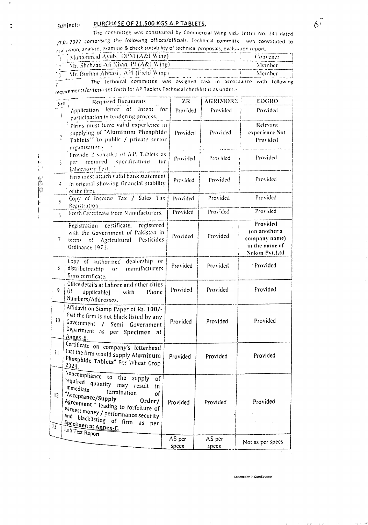#### PURCHASE OF 21,500 KGS A.P TABLETS. subject:-

 $\mathbf{r}$ 

 $\mathcal{L}_{\mathcal{A}}$ 

The committee was constituted by Commercial Wing vide Letter No. 241 dated 27.01.2022 comprising the following offices/officials. Technical committe was constituted to evaluation, analyze, examine & check suitability of technical proposals, evaluation report.

| Muhammad Ayub, DPM (A&I Wing)             |                                                                        | Convener |
|-------------------------------------------|------------------------------------------------------------------------|----------|
| "," "Mr. Shehzad Ali Khan, PI (A&I Wing). |                                                                        | Alember  |
| Mr. Burhan Abbasi, API (Field Wing)       |                                                                        | Member   |
|                                           | The technical committee was assigned task in accordance with following |          |

requirements/criteria set forth for AP Tablets Technical checklist is as under.

| $\sum_{i=1}^{n}$               | <b>Required Documents</b>                                                                                                                                                                                                                                                                                   | 2R              | <b>AGRIMORE</b> | <b>EDGRO</b>                                                                          |
|--------------------------------|-------------------------------------------------------------------------------------------------------------------------------------------------------------------------------------------------------------------------------------------------------------------------------------------------------------|-----------------|-----------------|---------------------------------------------------------------------------------------|
|                                | Application letter of<br>Intent for                                                                                                                                                                                                                                                                         | Provided        | Provided        | Provided                                                                              |
| Ċ,                             | participation in tendering process.<br>Firms must have valid experience in<br>supplying of "Aluminum Phosphide<br>Tablets" to public / private sector                                                                                                                                                       | Provided        | Provided        | Relevant<br>experience Not<br>Provided                                                |
| 3.                             | organizations<br>Provide 2 samples of A.P. Tablets as<br>required specifications<br>tor<br>per<br>Laboratory Test.                                                                                                                                                                                          | Provided        | Provided        | Provided                                                                              |
| 4.                             | Firm must attach valid bank statement<br>in original showing financial stability<br>$\frac{1}{2}$ of the firm.                                                                                                                                                                                              | Provided        | Provided        | Provided                                                                              |
| $\mathcal{S}$                  | Copy of Income Tax / Sales Tax<br>Registration                                                                                                                                                                                                                                                              | Provided        | Provided        | Provided                                                                              |
| 6                              | Fresh Certificate from Manufacturers.                                                                                                                                                                                                                                                                       | Provided        | Provided        | Provided                                                                              |
| 7.                             | Registration certificate, registered<br>with the Government of Pakistan in<br>terms of Agricultural Pesticides<br>Ordinance 1971.                                                                                                                                                                           | Provided        | Provided        | Provided<br>(on another s)<br>company name)<br>in the name of<br><b>Nokon Pvt.Ltd</b> |
| S.                             | Copy of authorized dealership or<br>distributorship or manufacturers<br>firms certificate.                                                                                                                                                                                                                  | Provided        | Provided        | Provided                                                                              |
| 9                              | Office details at Lahore and other cities<br>(if<br>Phone<br>applicable)<br>with<br>Numbers/Addresses.                                                                                                                                                                                                      | Provided        | Provided        | Provided                                                                              |
| 10 <sup>°</sup>                | Affidavit on Stamp Paper of Rs. 100/-<br>$\frac{1}{3}$ that the firm is not black listed by any<br>Government<br>$\prime$<br>Semi Government<br>Department as per Specimen at<br>Anney-B.                                                                                                                   | Provided        | Provided        | Provided                                                                              |
| $\mathbf{H}$                   | Certificate on company's letterhead<br>that the firm would supply Aluminum<br>Phosphide Tablets" For Wheat Crop<br>2021.                                                                                                                                                                                    | Provided        | Provided        | Provided                                                                              |
| $ 2\rangle$<br>13 <sup>7</sup> | Noncompliance to the supply of<br>required quantity may result in<br>immediate<br>termination<br>of<br>"Acceptance/Supply<br>Order/<br>Agreement " leading to forfeiture of<br>earnest money / performance security<br>and blacklisting of firm<br><u>Specimen at Annex-C.</u><br>as per<br>Lab Test Report | Provided        | Provided        | Provided                                                                              |
|                                |                                                                                                                                                                                                                                                                                                             | AS per<br>specs | AS per<br>specs | Not as per specs.                                                                     |

Scanned with CamScanner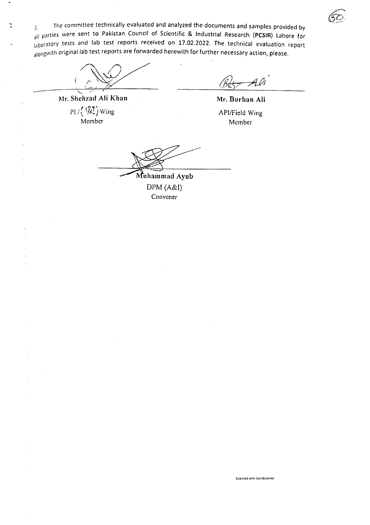$3.$  The committee technically evaluated and analyzed the documents and samples provided by all parties were sent to Pakistan Council of Scientific & Industrial Research (PCSIR) Lahore for laboratory tests and lab test reports received on 17.02.2022. The technical evaluation report <sub>along</sub>with original lab test reports are forwarded herewith for further necessary action, please.

 $\overbrace{\phantom{aaaaa}}^{\phantom{aaaaa}}$ 

Mr. Shchzad Ali Khan PI /r~.&IJWing , , Membe

(Bé

Mr. Burhan Ali API/Field Wing Member

Scanned with CamScanner

---~-'~~

DPM (A&I) Convener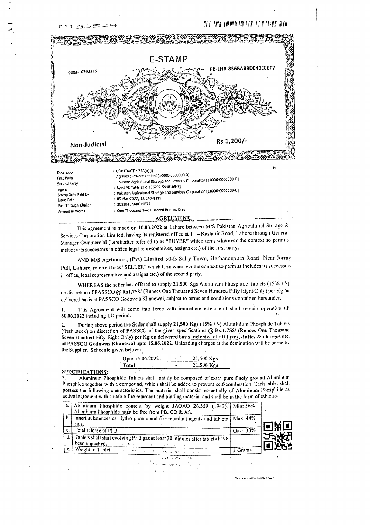## UI IHK IUWIIN III II UIII UA



This agreement is made on 10.03.2022 at Lahore between M/S Pakistan Agricultural Storage & Services Corporation Limited, having its registered office at 11 - Kashmir Road, Lahore through General Manager Commercial (hereinafter referred to as "BUYER" which term wherever the context so permits includes its successors in office legal representatives, assigns etc.) of the first party.

AND M/S Agrimore, (Pvt) Limited 30-B Sally Town, Herbancepura Road Near Jorray Pull, Lahore, referred to as "SELLER" which term wherever the context so permits includes its successors in office, legal representative and assigns etc.) of the second party.

WHEREAS the seller has offered to supply 21,500 Kgs Aluminum Phosphide Tablets (15% +/-) on discretion of PASSCO @ Rs1,758/-(Rupees One Thousand Seven Hundred Fifty Eight-Only) per Kg on delivered basis at PASSCO Godowns Khanewal, subject to terms and conditions contained hereunder.

This Agreement will come into force with immediate effect and shall remain operative till I. 30.06.2022 including LD period.

During above period the Seller shall supply 21,500 Kgs (15% +/-) Aluminium Phosphide Tablets (fresh stock) on discretion of PASSCO of the given specifications @ Rs.1,758/-(Rupces One Thousand Seven Hundred Fifty Eight Only) per Kg on delivered basis inclusive of all taxes, duties & charges etc. at PASSCO Godowns Khanewal upto 15.06.2022. Unloading charges at the destination will be borne by the Supplier. Schedule given below:-

|       | Upto 15.06.2022 |  | 21,500 Kgs |
|-------|-----------------|--|------------|
| Total |                 |  | 21,500 Kgs |

SPECIFICATIONS:

Aluminum Phosphide Tablets shall mainly be composed of extra pure finely ground Aluminum Phosphide together with a compound, which shall be added to prevent self-combustion. Each tablet shall possess the following characteristics. The material shall consist essentially of Aluminum Phosphide as active ingredient with suitable fire retardant and binding material and shall be in the form of tablets:-



Scanned with CamScanner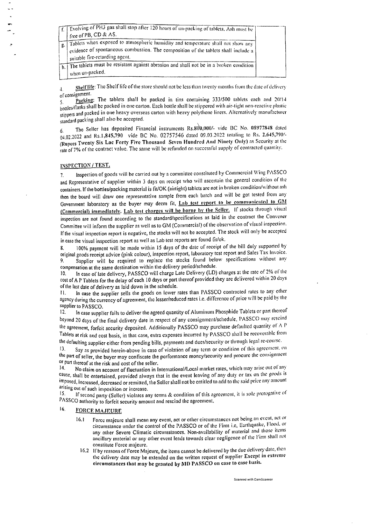|  | Evolving of PH3 gas shall stop after 120 hours of un-packing of tablets. Ash must be                                                                                                                    |  |
|--|---------------------------------------------------------------------------------------------------------------------------------------------------------------------------------------------------------|--|
|  | $\frac{1}{2}$ free of PB, CD & AS.                                                                                                                                                                      |  |
|  | Tablets when exposed to atmospheric humidity and temperature shall not show any<br>evidence of spontaneous combustion. The composition of the tablets shall include a<br>suitable fire-retarding agent. |  |
|  | The tablets must be resistant against abrasion and shall not be in a broken condition<br>$\perp$ when un-packed.                                                                                        |  |

Shelf life: The Shelf life of the store should not be less than twenty months from the date of delivery  $\Delta$ of consignment.

Packing: The tablets shall be packed in tins containing 333/500 tablets each and 20/14 .5. bottles/flasks shall be packed in one carton. Each bottle shall be stippered with air-tight non-reactive plastic stippers and packed in one heavy overseas carton with heavy polythene liners. Alternatively manufacturer standard packing shall also be accepted.

The Seller has deposited Financial instruments Rs.800,000/- vide BC No. 08977848 dated  $6.$ 04.02.2022 and Rs.1,845,790 vide BC No. 02757546 dated 09.03.2022 totaling to Rs. 2.645,790/-(Rupees Twenty Six Lac Forty Five Thousand Seven Hundred And Ninety Only) as Security at the rate of 7% of the contract value. The same will be refunded on successful supply of contracted quantity.

## INSPECTION / TEST.

Inspection of goods will be carried out by a committee constituted by Commercial Wing PASSCO  $7.$ and Representative of supplier within 3 days on receipt who will ascertain the general condition of the containers. If the bottles/packing material is fit/OK (airtight) tablets are not in broken condition/without ash then the board will draw one representative sample from each batch and will be got tested from any Government laboratory as the buyer may deem fit, Lab test report to be communicated to GM (Commercial) immediately. Lab test charges will be borne by the Seller. If stocks through visual inspection are not found according to the standard/specifications as laid in the contract the Convener Committee will inform the supplier as well as to GM (Commercial) of the observation of visual inspection. If the visual inspection report is negative, the stocks will not be accepted. The stock will only be accepted in case the visual inspection report as well as Lab test reports are found fit/ok.

100% payment will be made within 15 days of the date of receipt of the bill duly supported by 8. original goods receipt advice (pink colour), inspection report, laboratory test report and Sales Tax Invoice. Supplier will be required to replace the stocks found below specifications without any 9. compensation at the same destination within the delivery period/schedule.

In case of late delivery, PASSCO will charge Late Delivery (LD) charges at the rate of 2% of the  $10.$ cost of A P Tablets for the delay of each 10 days or part thereof provided they are delivered within 20 days of the last date of delivery as laid down in the schedule.

In case the supplier sells the goods on lower rates than PASSCO contracted rates to any other  $\Pi$ agency during the currency of agreement, the lesser/reduced rates i.e. difference of price will be paid by the supplier to PASSCO.

In case supplier fails to deliver the agreed quantity of Aluminum Phosphide Tablets or part thereof  $12.$ beyond 20 days of the final delivery date in respect of any consignment/schedule, PASSCO may rescind the agreement, forfeit security deposited. Additionally PASSCO may purchase defaulted quantity of  $\Lambda$  P Tablets at risk and cost basis, in that case, extra expenses incurred by PASSCO shall be recoverable from the defaulting supplier either from pending bills, payments and dues/security or through legal re-course.

Say as provided herein-above in case of violation of any term or condition of this agreement, on  $\vert 3 \vert$ the part of seller, the buyer may confiscate the performance money/security and procure the consignment or part thereof at the risk and cost of the seller.

No claim on account of fluctuation in International/Local market rates, which may arise out of any  $14.$ cause, shall be entertained, provided always that in the event leaving of any duty or tax on the goods is imposed, increased, decreased or remitted, the Seller shall not be entitled to add to the said price any amount arising out of such imposition or increase.

If second party (Seller) violates any terms & condition of this agreement, it is sole prerogative of  $15<sub>1</sub>$ PASSCO authority to forfeit security amount and rescind the agreement.

#### 16, **FORCE MAJEURE**

- Force majeure shall mean any event, act or other circumstances not being an event, act or  $16.1$ circumstance under the control of the PASSCO or of the Firm i.e, Earthquake, Flood, or any other Severe Climatic circumstances. Non-availability of material and those items ancillary material or any other event leads towards clear negligence of the Firm shall not constitute Force majeure.
	- 16.2 If by reasons of Force Majeure, the items cannot be delivered by the due delivery date, then the delivery date may be extended on the written request of supplier Except in extreme circumstances that may be granted by MD PASSCO on case to case basis.